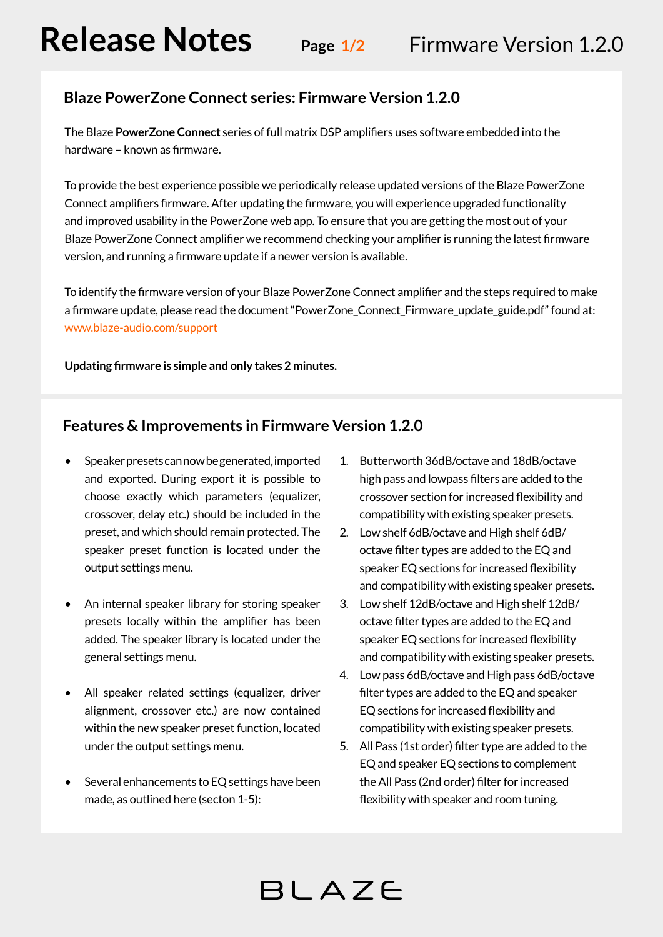# **Blaze PowerZone Connect series: Firmware Version 1.2.0**

The Blaze **PowerZone Connect** series of full matrix DSP amplifiers uses software embedded into the hardware – known as firmware.

To provide the best experience possible we periodically release updated versions of the Blaze PowerZone Connect amplifiers firmware. After updating the firmware, you will experience upgraded functionality and improved usability in the PowerZone web app. To ensure that you are getting the most out of your Blaze PowerZone Connect amplifier we recommend checking your amplifier is running the latest firmware version, and running a firmware update if a newer version is available.

To identify the firmware version of your Blaze PowerZone Connect amplifier and the steps required to make a firmware update, please read the document "PowerZone\_Connect\_Firmware\_update\_guide.pdf" found at: www.[blaze-audio.com/support](https://blaze-audio.com/support/)

**BLAZE** 

#### **Updating firmware is simple and only takes 2 minutes.**

### **Features & Improvements in Firmware Version 1.2.0**

- Speaker presets can now be generated, imported and exported. During export it is possible to choose exactly which parameters (equalizer, crossover, delay etc.) should be included in the preset, and which should remain protected. The speaker preset function is located under the output settings menu.
- An internal speaker library for storing speaker presets locally within the amplifier has been added. The speaker library is located under the general settings menu.
- All speaker related settings (equalizer, driver alignment, crossover etc.) are now contained within the new speaker preset function, located under the output settings menu.
- Several enhancements to EQ settings have been made, as outlined here (secton 1-5):
- 1. Butterworth 36dB/octave and 18dB/octave high pass and lowpass filters are added to the crossover section for increased flexibility and compatibility with existing speaker presets.
- 2. Low shelf 6dB/octave and High shelf 6dB/ octave filter types are added to the EQ and speaker EQ sections for increased flexibility and compatibility with existing speaker presets.
- 3. Low shelf 12dB/octave and High shelf 12dB/ octave filter types are added to the EQ and speaker EQ sections for increased flexibility and compatibility with existing speaker presets.
- 4. Low pass 6dB/octave and High pass 6dB/octave filter types are added to the EQ and speaker EQ sections for increased flexibility and compatibility with existing speaker presets.
- 5. All Pass (1st order) filter type are added to the EQ and speaker EQ sections to complement the All Pass (2nd order) filter for increased flexibility with speaker and room tuning.